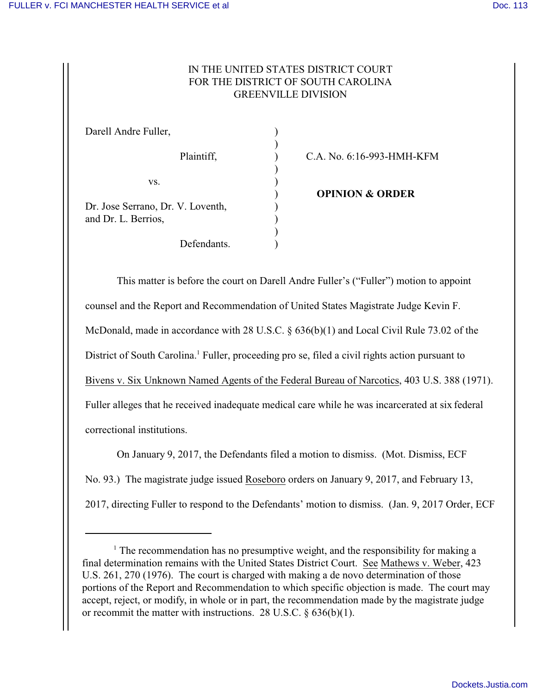## IN THE UNITED STATES DISTRICT COURT FOR THE DISTRICT OF SOUTH CAROLINA GREENVILLE DIVISION

| Darell Andre Fuller,              |  |
|-----------------------------------|--|
| Plaintiff,                        |  |
| VS.                               |  |
|                                   |  |
| Dr. Jose Serrano, Dr. V. Loventh, |  |
| and Dr. L. Berrios,               |  |
|                                   |  |
| Defendants.                       |  |

C.A. No. 6:16-993-HMH-KFM

) **OPINION & ORDER**

This matter is before the court on Darell Andre Fuller's ("Fuller") motion to appoint counsel and the Report and Recommendation of United States Magistrate Judge Kevin F. McDonald, made in accordance with 28 U.S.C. § 636(b)(1) and Local Civil Rule 73.02 of the District of South Carolina.<sup>1</sup> Fuller, proceeding pro se, filed a civil rights action pursuant to Bivens v. Six Unknown Named Agents of the Federal Bureau of Narcotics, 403 U.S. 388 (1971). Fuller alleges that he received inadequate medical care while he was incarcerated at six federal correctional institutions.

On January 9, 2017, the Defendants filed a motion to dismiss. (Mot. Dismiss, ECF No. 93.) The magistrate judge issued Roseboro orders on January 9, 2017, and February 13, 2017, directing Fuller to respond to the Defendants' motion to dismiss. (Jan. 9, 2017 Order, ECF

<sup>&</sup>lt;sup>1</sup> The recommendation has no presumptive weight, and the responsibility for making a final determination remains with the United States District Court. See Mathews v. Weber, 423 U.S. 261, 270 (1976). The court is charged with making a de novo determination of those portions of the Report and Recommendation to which specific objection is made. The court may accept, reject, or modify, in whole or in part, the recommendation made by the magistrate judge or recommit the matter with instructions. 28 U.S.C.  $\delta$  636(b)(1).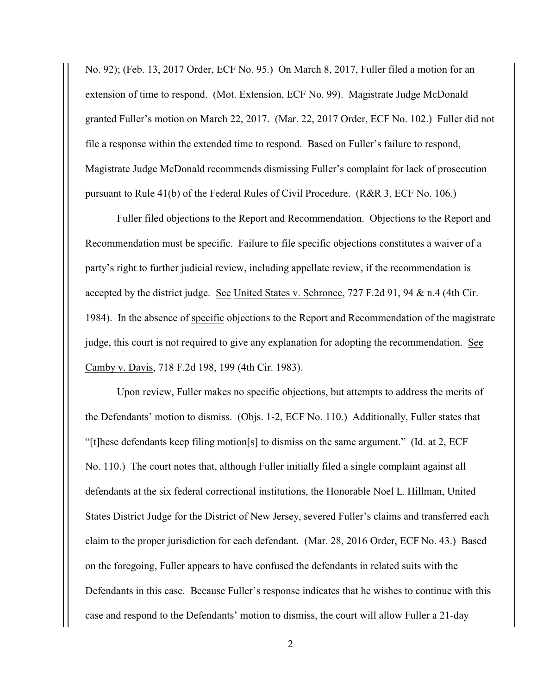No. 92); (Feb. 13, 2017 Order, ECF No. 95.) On March 8, 2017, Fuller filed a motion for an extension of time to respond. (Mot. Extension, ECF No. 99). Magistrate Judge McDonald granted Fuller's motion on March 22, 2017. (Mar. 22, 2017 Order, ECF No. 102.) Fuller did not file a response within the extended time to respond. Based on Fuller's failure to respond, Magistrate Judge McDonald recommends dismissing Fuller's complaint for lack of prosecution pursuant to Rule 41(b) of the Federal Rules of Civil Procedure. (R&R 3, ECF No. 106.)

Fuller filed objections to the Report and Recommendation. Objections to the Report and Recommendation must be specific. Failure to file specific objections constitutes a waiver of a party's right to further judicial review, including appellate review, if the recommendation is accepted by the district judge. See United States v. Schronce, 727 F.2d 91, 94 & n.4 (4th Cir. 1984). In the absence of specific objections to the Report and Recommendation of the magistrate judge, this court is not required to give any explanation for adopting the recommendation. See Camby v. Davis, 718 F.2d 198, 199 (4th Cir. 1983).

Upon review, Fuller makes no specific objections, but attempts to address the merits of the Defendants' motion to dismiss. (Objs. 1-2, ECF No. 110.) Additionally, Fuller states that "[t]hese defendants keep filing motion[s] to dismiss on the same argument." (Id. at 2, ECF) No. 110.) The court notes that, although Fuller initially filed a single complaint against all defendants at the six federal correctional institutions, the Honorable Noel L. Hillman, United States District Judge for the District of New Jersey, severed Fuller's claims and transferred each claim to the proper jurisdiction for each defendant. (Mar. 28, 2016 Order, ECF No. 43.) Based on the foregoing, Fuller appears to have confused the defendants in related suits with the Defendants in this case. Because Fuller's response indicates that he wishes to continue with this case and respond to the Defendants' motion to dismiss, the court will allow Fuller a 21-day